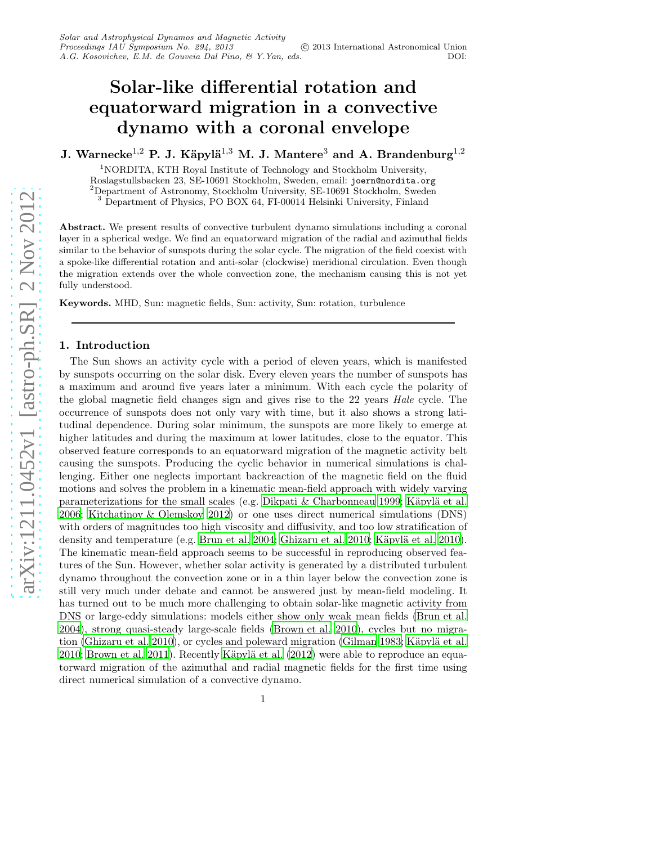# Solar-like differential rotation and equatorward migration in a convective dynamo with a coronal envelope

J. Warnecke<sup>1,2</sup> P. J. Käpylä<sup>1,3</sup> M. J. Mantere<sup>3</sup> and A. Brandenburg<sup>1,2</sup>

<sup>1</sup>NORDITA, KTH Royal Institute of Technology and Stockholm University, Roslagstullsbacken 23, SE-10691 Stockholm, Sweden, email: joern@nordita.org <sup>2</sup>Department of Astronomy, Stockholm University, SE-10691 Stockholm, Sweden <sup>3</sup> Department of Physics, PO BOX 64, FI-00014 Helsinki University, Finland

Abstract. We present results of convective turbulent dynamo simulations including a coronal layer in a spherical wedge. We find an equatorward migration of the radial and azimuthal fields similar to the behavior of sunspots during the solar cycle. The migration of the field coexist with a spoke-like differential rotation and anti-solar (clockwise) meridional circulation. Even though the migration extends over the whole convection zone, the mechanism causing this is not yet fully understood.

Keywords. MHD, Sun: magnetic fields, Sun: activity, Sun: rotation, turbulence

### 1. Introduction

The Sun shows an activity cycle with a period of eleven years, which is manifested by sunspots occurring on the solar disk. Every eleven years the number of sunspots has a maximum and around five years later a minimum. With each cycle the polarity of the global magnetic field changes sign and gives rise to the 22 years Hale cycle. The occurrence of sunspots does not only vary with time, but it also shows a strong latitudinal dependence. During solar minimum, the sunspots are more likely to emerge at higher latitudes and during the maximum at lower latitudes, close to the equator. This observed feature corresponds to an equatorward migration of the magnetic activity belt causing the sunspots. Producing the cyclic behavior in numerical simulations is challenging. Either one neglects important backreaction of the magnetic field on the fluid motions and solves the problem in a kinematic mean-field approach with widely varying parameterizations for the small scales (e.g. [Dikpati & Charbonneau 1999;](#page-5-0) Käpylä et al. [2006;](#page-5-1) [Kitchatinov & Olemskoy 2012](#page-5-2)) or one uses direct numerical simulations (DNS) with orders of magnitudes too high viscosity and diffusivity, and too low stratification of density and temperature (e.g. [Brun et al. 2004;](#page-5-3) [Ghizaru et al. 2010;](#page-5-4) Käpylä et al. 2010). The kinematic mean-field approach seems to be successful in reproducing observed features of the Sun. However, whether solar activity is generated by a distributed turbulent dynamo throughout the convection zone or in a thin layer below the convection zone is still very much under debate and cannot be answered just by mean-field modeling. It has turned out to be much more challenging to obtain solar-like magnetic activity from DNS or large-eddy simulations: models either show only weak mean fields [\(Brun et al.](#page-5-3) [2004\)](#page-5-3), strong quasi-steady large-scale fields [\(Brown et al. 2010\)](#page-5-6), cycles but no migra-tion [\(Ghizaru et al. 2010\)](#page-5-4), or cycles and poleward migration [\(Gilman 1983](#page-5-7); Käpylä et al.  $2010$ ; Brown et al.  $2011$ ). Recently Käpylä et al.  $(2012)$  were able to reproduce an equatorward migration of the azimuthal and radial magnetic fields for the first time using direct numerical simulation of a convective dynamo.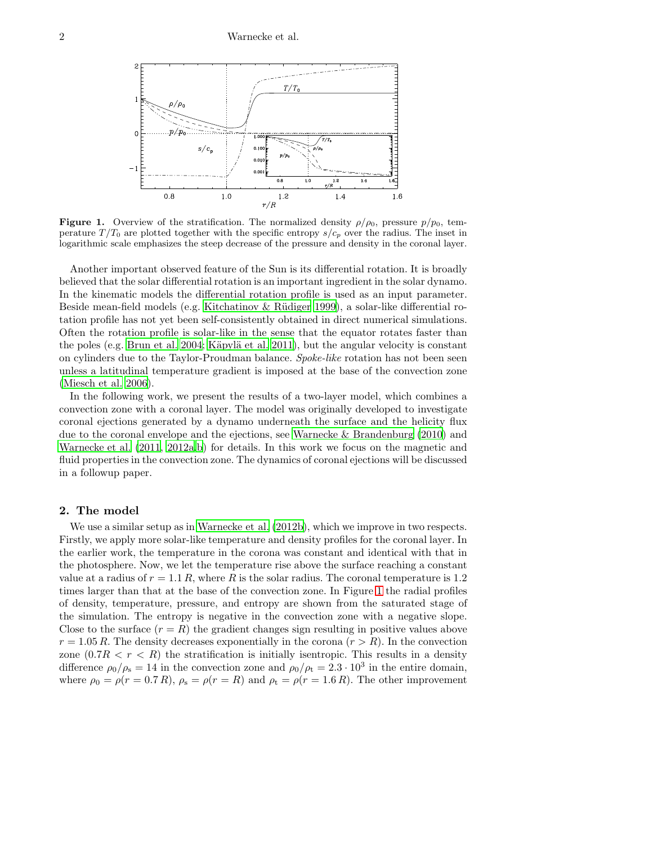2 Warnecke et al.



<span id="page-1-0"></span>**Figure 1.** Overview of the stratification. The normalized density  $\rho/\rho_0$ , pressure  $p/p_0$ , temperature  $T/T_0$  are plotted together with the specific entropy  $s/c_p$  over the radius. The inset in logarithmic scale emphasizes the steep decrease of the pressure and density in the coronal layer.

Another important observed feature of the Sun is its differential rotation. It is broadly believed that the solar differential rotation is an important ingredient in the solar dynamo. In the kinematic models the differential rotation profile is used as an input parameter. Beside mean-field models (e.g. Kitchatinov & Rüdiger 1999), a solar-like differential rotation profile has not yet been self-consistently obtained in direct numerical simulations. Often the rotation profile is solar-like in the sense that the equator rotates faster than the poles (e.g. [Brun et al. 2004;](#page-5-3) Käpylä et al. 2011), but the angular velocity is constant on cylinders due to the Taylor-Proudman balance. Spoke-like rotation has not been seen unless a latitudinal temperature gradient is imposed at the base of the convection zone [\(Miesch et al. 2006](#page-5-12)).

In the following work, we present the results of a two-layer model, which combines a convection zone with a coronal layer. The model was originally developed to investigate coronal ejections generated by a dynamo underneath the surface and the helicity flux due to the coronal envelope and the ejections, see [Warnecke & Brandenburg \(2010\)](#page-5-13) and [Warnecke et al. \(2011,](#page-5-14) [2012a](#page-5-15)[,b](#page-5-16)) for details. In this work we focus on the magnetic and fluid properties in the convection zone. The dynamics of coronal ejections will be discussed in a followup paper.

## 2. The model

We use a similar setup as in Warnecke et al.  $(2012b)$ , which we improve in two respects. Firstly, we apply more solar-like temperature and density profiles for the coronal layer. In the earlier work, the temperature in the corona was constant and identical with that in the photosphere. Now, we let the temperature rise above the surface reaching a constant value at a radius of  $r = 1.1 R$ , where R is the solar radius. The coronal temperature is 1.2 times larger than that at the base of the convection zone. In Figure [1](#page-1-0) the radial profiles of density, temperature, pressure, and entropy are shown from the saturated stage of the simulation. The entropy is negative in the convection zone with a negative slope. Close to the surface  $(r = R)$  the gradient changes sign resulting in positive values above  $r = 1.05 R$ . The density decreases exponentially in the corona  $(r > R)$ . In the convection zone  $(0.7R < r < R)$  the stratification is initially isentropic. This results in a density difference  $\rho_0/\rho_s = 14$  in the convection zone and  $\rho_0/\rho_t = 2.3 \cdot 10^3$  in the entire domain, where  $\rho_0 = \rho(r = 0.7 R)$ ,  $\rho_s = \rho(r = R)$  and  $\rho_t = \rho(r = 1.6 R)$ . The other improvement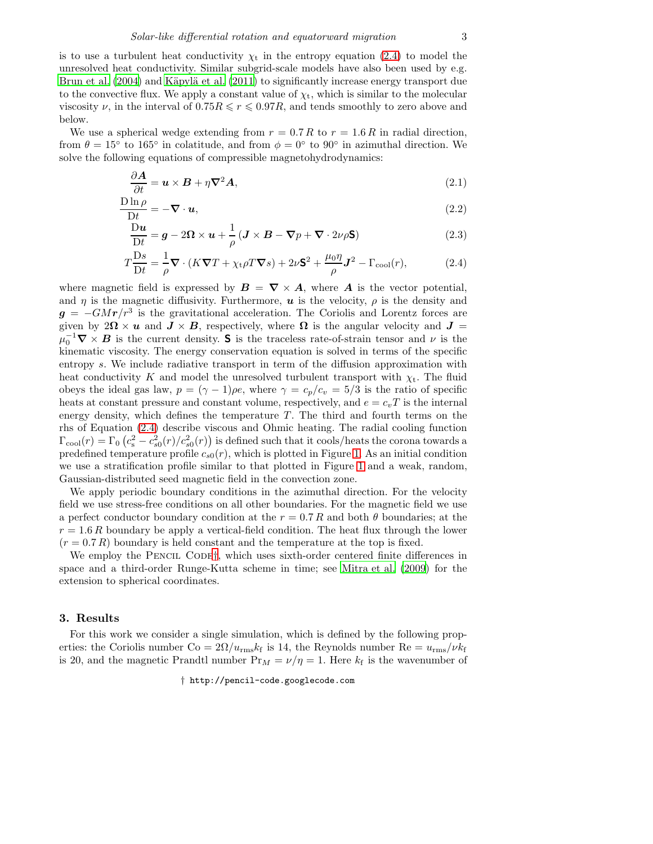is to use a turbulent heat conductivity  $\chi_t$  in the entropy equation [\(2.4\)](#page-2-0) to model the unresolved heat conductivity. Similar subgrid-scale models have also been used by e.g. [Brun et al. \(2004\)](#page-5-3) and Käpylä et al. (2011) to significantly increase energy transport due to the convective flux. We apply a constant value of  $\chi_t$ , which is similar to the molecular viscosity  $\nu$ , in the interval of  $0.75R \leq \nu \leq 0.97R$ , and tends smoothly to zero above and below.

We use a spherical wedge extending from  $r = 0.7 R$  to  $r = 1.6 R$  in radial direction, from  $\theta = 15^{\circ}$  to 165° in colatitude, and from  $\phi = 0^{\circ}$  to 90° in azimuthal direction. We solve the following equations of compressible magnetohydrodynamics:

<span id="page-2-0"></span>
$$
\frac{\partial \mathbf{A}}{\partial t} = \mathbf{u} \times \mathbf{B} + \eta \nabla^2 \mathbf{A},\tag{2.1}
$$

$$
\frac{\text{D}\ln\rho}{\text{D}t} = -\nabla \cdot \boldsymbol{u},\tag{2.2}
$$

$$
\frac{\mathcal{D}u}{\mathcal{D}t} = g - 2\Omega \times u + \frac{1}{\rho} \left( \mathbf{J} \times \mathbf{B} - \nabla p + \nabla \cdot 2\nu \rho \mathbf{S} \right)
$$
(2.3)

$$
T\frac{\mathrm{D}s}{\mathrm{D}t} = \frac{1}{\rho}\nabla \cdot (K\nabla T + \chi_t \rho T\nabla s) + 2\nu \mathbf{S}^2 + \frac{\mu_0 \eta}{\rho} \mathbf{J}^2 - \Gamma_{\mathrm{cool}}(r),\tag{2.4}
$$

where magnetic field is expressed by  $B = \nabla \times A$ , where **A** is the vector potential, and  $\eta$  is the magnetic diffusivity. Furthermore,  $\boldsymbol{u}$  is the velocity,  $\rho$  is the density and  $g = -GMr/r^3$  is the gravitational acceleration. The Coriolis and Lorentz forces are given by  $2\Omega \times u$  and  $J \times B$ , respectively, where  $\Omega$  is the angular velocity and  $J =$  $\mu_0^{-1} \nabla \times \mathbf{B}$  is the current density. S is the traceless rate-of-strain tensor and  $\nu$  is the kinematic viscosity. The energy conservation equation is solved in terms of the specific entropy s. We include radiative transport in term of the diffusion approximation with heat conductivity K and model the unresolved turbulent transport with  $\chi_t$ . The fluid obeys the ideal gas law,  $p = (\gamma - 1)\rho e$ , where  $\gamma = c_p/c_v = 5/3$  is the ratio of specific heats at constant pressure and constant volume, respectively, and  $e = c_v T$  is the internal energy density, which defines the temperature  $T$ . The third and fourth terms on the rhs of Equation [\(2.4\)](#page-2-0) describe viscous and Ohmic heating. The radial cooling function  $\Gamma_{\rm cool}(r) = \Gamma_0 \left( c_s^2 - c_{s0}^2(r) / c_{s0}^2(r) \right)$  is defined such that it cools/heats the corona towards a predefined temperature profile  $c_{s0}(r)$ , which is plotted in Figure [1.](#page-1-0) As an initial condition we use a stratification profile similar to that plotted in Figure [1](#page-1-0) and a weak, random, Gaussian-distributed seed magnetic field in the convection zone.

We apply periodic boundary conditions in the azimuthal direction. For the velocity field we use stress-free conditions on all other boundaries. For the magnetic field we use a perfect conductor boundary condition at the  $r = 0.7 R$  and both  $\theta$  boundaries; at the  $r = 1.6 R$  boundary be apply a vertical-field condition. The heat flux through the lower  $(r = 0.7 R)$  boundary is held constant and the temperature at the top is fixed.

We employ the PENCIL CODE<sup>[†](#page-2-1)</sup>, which uses sixth-order centered finite differences in space and a third-order Runge-Kutta scheme in time; see [Mitra et al. \(2009](#page-5-17)) for the extension to spherical coordinates.

## 3. Results

For this work we consider a single simulation, which is defined by the following properties: the Coriolis number  $\text{Co} = 2\Omega/u_{\text{rms}}k_f$  is 14, the Reynolds number  $\text{Re} = u_{\text{rms}}/\nu k_f$ is 20, and the magnetic Prandtl number  $Pr_M = \nu/\eta = 1$ . Here  $k_f$  is the wavenumber of

<span id="page-2-1"></span>† http://pencil-code.googlecode.com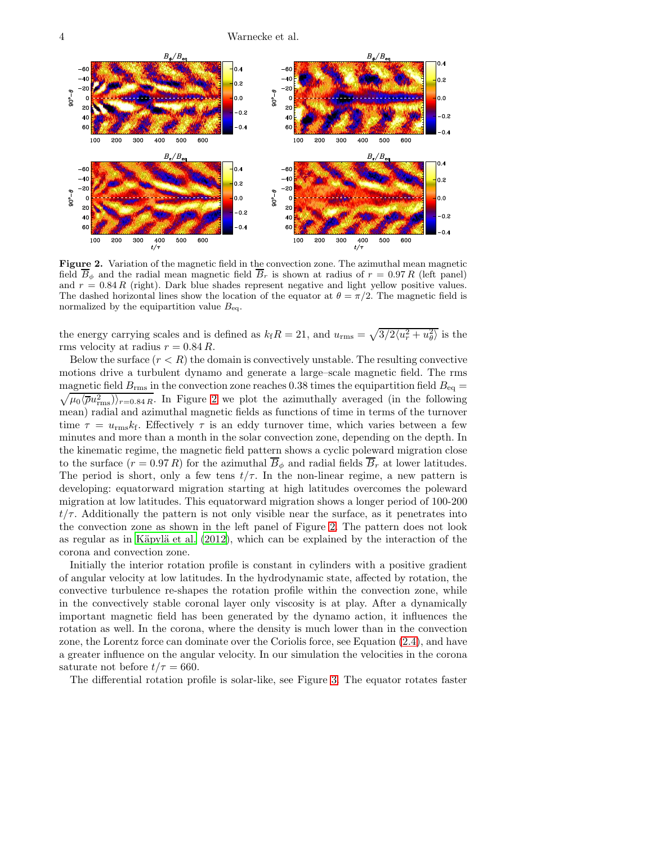4 Warnecke et al.



<span id="page-3-0"></span>Figure 2. Variation of the magnetic field in the convection zone. The azimuthal mean magnetic field  $\overline{B}_{\phi}$  and the radial mean magnetic field  $\overline{B}_r$  is shown at radius of  $r = 0.97 R$  (left panel) and  $r = 0.84 R$  (right). Dark blue shades represent negative and light yellow positive values. The dashed horizontal lines show the location of the equator at  $\theta = \pi/2$ . The magnetic field is normalized by the equipartition value  $B_{eq}$ .

the energy carrying scales and is defined as  $k_f R = 21$ , and  $u_{\text{rms}} = \sqrt{3/2 \langle u_r^2 + u_\theta^2 \rangle}$  is the rms velocity at radius  $r = 0.84 R$ .

Below the surface  $(r < R)$  the domain is convectively unstable. The resulting convective motions drive a turbulent dynamo and generate a large–scale magnetic field. The rms magnetic field  $B_{\rm rms}$  in the convection zone reaches 0.38 times the equipartition field  $B_{\rm eq}$  =  $\sqrt{\mu_0 \langle \overline{\rho} u_{\rm rms}^2}$ ) $\rangle_{r=0.84 R}$ . In Figure [2](#page-3-0) we plot the azimuthally averaged (in the following mean) radial and azimuthal magnetic fields as functions of time in terms of the turnover time  $\tau = u_{\text{rms}}k_{\text{f}}$ . Effectively  $\tau$  is an eddy turnover time, which varies between a few minutes and more than a month in the solar convection zone, depending on the depth. In the kinematic regime, the magnetic field pattern shows a cyclic poleward migration close to the surface  $(r = 0.97 R)$  for the azimuthal  $\overline{B}_{\phi}$  and radial fields  $\overline{B}_{r}$  at lower latitudes. The period is short, only a few tens  $t/\tau$ . In the non-linear regime, a new pattern is developing: equatorward migration starting at high latitudes overcomes the poleward migration at low latitudes. This equatorward migration shows a longer period of 100-200  $t/\tau$ . Additionally the pattern is not only visible near the surface, as it penetrates into the convection zone as shown in the left panel of Figure [2.](#page-3-0) The pattern does not look as regular as in Käpylä et al.  $(2012)$ , which can be explained by the interaction of the corona and convection zone.

Initially the interior rotation profile is constant in cylinders with a positive gradient of angular velocity at low latitudes. In the hydrodynamic state, affected by rotation, the convective turbulence re-shapes the rotation profile within the convection zone, while in the convectively stable coronal layer only viscosity is at play. After a dynamically important magnetic field has been generated by the dynamo action, it influences the rotation as well. In the corona, where the density is much lower than in the convection zone, the Lorentz force can dominate over the Coriolis force, see Equation [\(2.4\)](#page-2-0), and have a greater influence on the angular velocity. In our simulation the velocities in the corona saturate not before  $t/\tau = 660$ .

The differential rotation profile is solar-like, see Figure [3.](#page-4-0) The equator rotates faster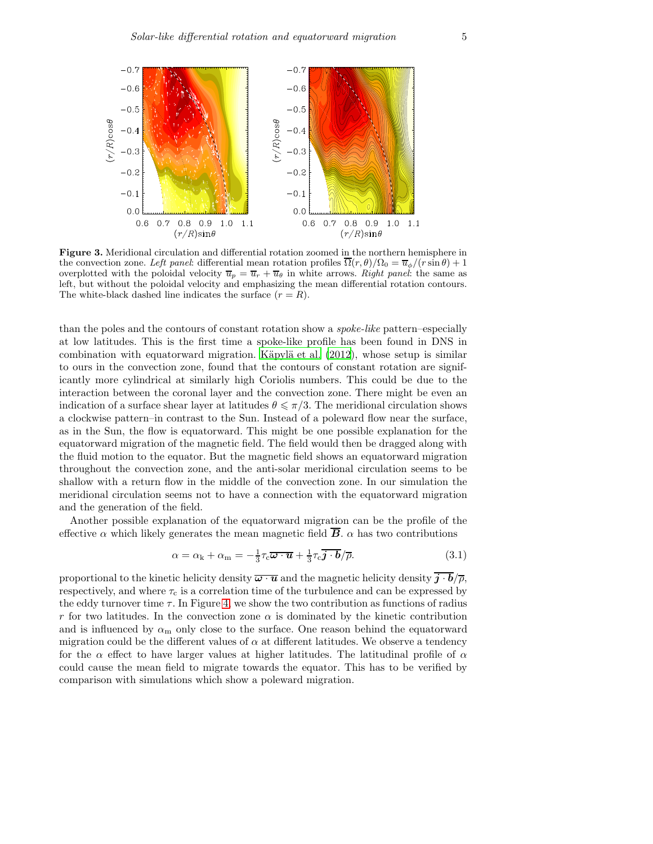

<span id="page-4-0"></span>Figure 3. Meridional circulation and differential rotation zoomed in the northern hemisphere in the convection zone. Left panel: differential mean rotation profiles  $\overline{\Omega}(r,\theta)/\Omega_0 = \overline{u}_{\phi}/(r\sin\theta) + 1$ overplotted with the poloidal velocity  $\overline{u}_p = \overline{u}_r + \overline{u}_\theta$  in white arrows. Right panel: the same as left, but without the poloidal velocity and emphasizing the mean differential rotation contours. The white-black dashed line indicates the surface  $(r = R)$ .

than the poles and the contours of constant rotation show a spoke-like pattern–especially at low latitudes. This is the first time a spoke-like profile has been found in DNS in combination with equatorward migration. Käpylä et al.  $(2012)$ , whose setup is similar to ours in the convection zone, found that the contours of constant rotation are significantly more cylindrical at similarly high Coriolis numbers. This could be due to the interaction between the coronal layer and the convection zone. There might be even an indication of a surface shear layer at latitudes  $\theta \leq \pi/3$ . The meridional circulation shows a clockwise pattern–in contrast to the Sun. Instead of a poleward flow near the surface, as in the Sun, the flow is equatorward. This might be one possible explanation for the equatorward migration of the magnetic field. The field would then be dragged along with the fluid motion to the equator. But the magnetic field shows an equatorward migration throughout the convection zone, and the anti-solar meridional circulation seems to be shallow with a return flow in the middle of the convection zone. In our simulation the meridional circulation seems not to have a connection with the equatorward migration and the generation of the field.

Another possible explanation of the equatorward migration can be the profile of the effective  $\alpha$  which likely generates the mean magnetic field  $\overline{B}$ .  $\alpha$  has two contributions

$$
\alpha = \alpha_{\rm k} + \alpha_{\rm m} = -\frac{1}{3}\tau_{\rm c}\overline{\boldsymbol{\omega}\cdot\boldsymbol{u}} + \frac{1}{3}\tau_{\rm c}\overline{\boldsymbol{j}\cdot\boldsymbol{b}}/\overline{\rho}.
$$
 (3.1)

proportional to the kinetic helicity density  $\overline{\omega \cdot u}$  and the magnetic helicity density  $j \cdot b/\overline{\rho}$ , respectively, and where  $\tau_c$  is a correlation time of the turbulence and can be expressed by the eddy turnover time  $\tau$ . In Figure [4,](#page-5-18) we show the two contribution as functions of radius r for two latitudes. In the convection zone  $\alpha$  is dominated by the kinetic contribution and is influenced by  $\alpha_m$  only close to the surface. One reason behind the equatorward migration could be the different values of  $\alpha$  at different latitudes. We observe a tendency for the  $\alpha$  effect to have larger values at higher latitudes. The latitudinal profile of  $\alpha$ could cause the mean field to migrate towards the equator. This has to be verified by comparison with simulations which show a poleward migration.